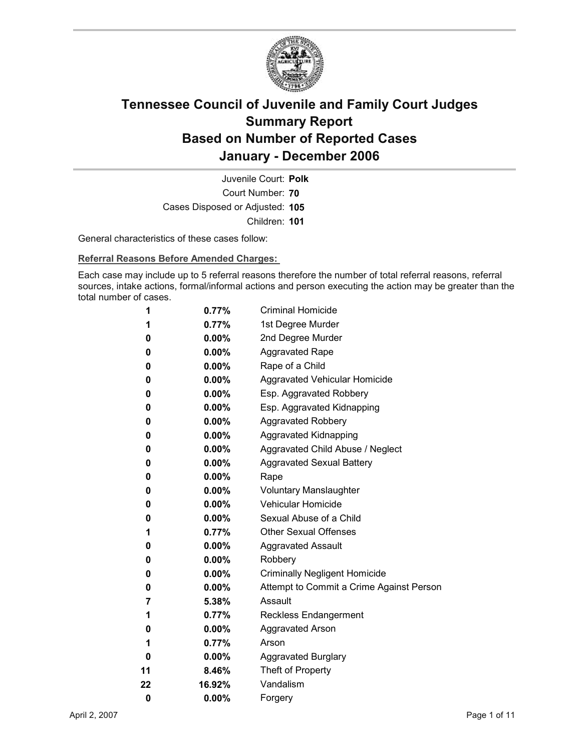

Court Number: **70** Juvenile Court: **Polk** Cases Disposed or Adjusted: **105** Children: **101**

General characteristics of these cases follow:

**Referral Reasons Before Amended Charges:** 

Each case may include up to 5 referral reasons therefore the number of total referral reasons, referral sources, intake actions, formal/informal actions and person executing the action may be greater than the total number of cases.

| 1  | 0.77%    | <b>Criminal Homicide</b>                 |
|----|----------|------------------------------------------|
| 1  | 0.77%    | 1st Degree Murder                        |
| 0  | $0.00\%$ | 2nd Degree Murder                        |
| 0  | $0.00\%$ | <b>Aggravated Rape</b>                   |
| 0  | $0.00\%$ | Rape of a Child                          |
| 0  | $0.00\%$ | Aggravated Vehicular Homicide            |
| 0  | $0.00\%$ | Esp. Aggravated Robbery                  |
| 0  | $0.00\%$ | Esp. Aggravated Kidnapping               |
| 0  | $0.00\%$ | <b>Aggravated Robbery</b>                |
| 0  | $0.00\%$ | <b>Aggravated Kidnapping</b>             |
| 0  | $0.00\%$ | Aggravated Child Abuse / Neglect         |
| 0  | $0.00\%$ | <b>Aggravated Sexual Battery</b>         |
| 0  | $0.00\%$ | Rape                                     |
| 0  | $0.00\%$ | <b>Voluntary Manslaughter</b>            |
| 0  | $0.00\%$ | <b>Vehicular Homicide</b>                |
| 0  | $0.00\%$ | Sexual Abuse of a Child                  |
| 1  | $0.77\%$ | <b>Other Sexual Offenses</b>             |
| 0  | $0.00\%$ | <b>Aggravated Assault</b>                |
| 0  | $0.00\%$ | Robbery                                  |
| 0  | $0.00\%$ | <b>Criminally Negligent Homicide</b>     |
| 0  | $0.00\%$ | Attempt to Commit a Crime Against Person |
| 7  | $5.38\%$ | Assault                                  |
| 1  | 0.77%    | <b>Reckless Endangerment</b>             |
| 0  | $0.00\%$ | <b>Aggravated Arson</b>                  |
| 1  | $0.77\%$ | Arson                                    |
| 0  | $0.00\%$ | <b>Aggravated Burglary</b>               |
| 11 | $8.46\%$ | Theft of Property                        |
| 22 | 16.92%   | Vandalism                                |
| 0  | 0.00%    | Forgery                                  |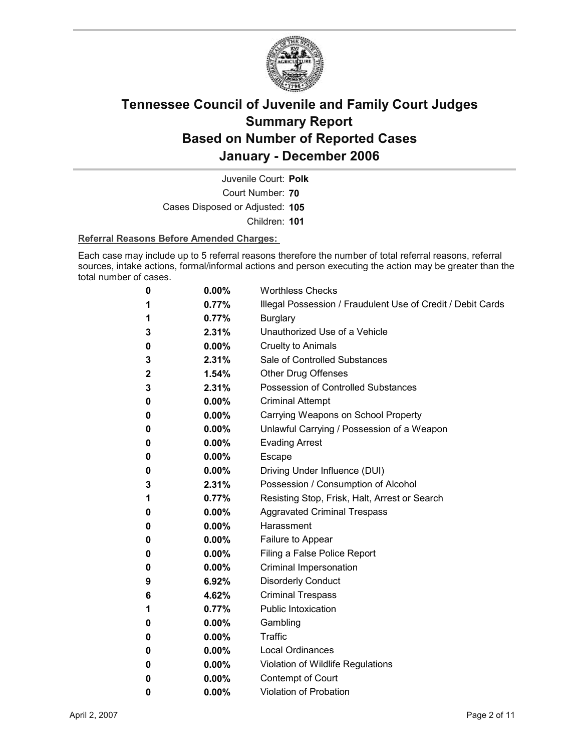

Court Number: **70** Juvenile Court: **Polk** Cases Disposed or Adjusted: **105** Children: **101**

### **Referral Reasons Before Amended Charges:**

Each case may include up to 5 referral reasons therefore the number of total referral reasons, referral sources, intake actions, formal/informal actions and person executing the action may be greater than the total number of cases.

| 0 | 0.00%    | <b>Worthless Checks</b>                                     |
|---|----------|-------------------------------------------------------------|
| 1 | 0.77%    | Illegal Possession / Fraudulent Use of Credit / Debit Cards |
| 1 | 0.77%    | <b>Burglary</b>                                             |
| 3 | 2.31%    | Unauthorized Use of a Vehicle                               |
| 0 | $0.00\%$ | <b>Cruelty to Animals</b>                                   |
| 3 | 2.31%    | Sale of Controlled Substances                               |
| 2 | 1.54%    | <b>Other Drug Offenses</b>                                  |
| 3 | 2.31%    | Possession of Controlled Substances                         |
| 0 | $0.00\%$ | <b>Criminal Attempt</b>                                     |
| 0 | $0.00\%$ | Carrying Weapons on School Property                         |
| 0 | $0.00\%$ | Unlawful Carrying / Possession of a Weapon                  |
| 0 | $0.00\%$ | <b>Evading Arrest</b>                                       |
| 0 | $0.00\%$ | <b>Escape</b>                                               |
| 0 | $0.00\%$ | Driving Under Influence (DUI)                               |
| 3 | 2.31%    | Possession / Consumption of Alcohol                         |
| 1 | 0.77%    | Resisting Stop, Frisk, Halt, Arrest or Search               |
| 0 | $0.00\%$ | <b>Aggravated Criminal Trespass</b>                         |
| 0 | $0.00\%$ | Harassment                                                  |
| 0 | $0.00\%$ | Failure to Appear                                           |
| 0 | $0.00\%$ | Filing a False Police Report                                |
| 0 | $0.00\%$ | Criminal Impersonation                                      |
| 9 | 6.92%    | <b>Disorderly Conduct</b>                                   |
| 6 | 4.62%    | <b>Criminal Trespass</b>                                    |
| 1 | 0.77%    | Public Intoxication                                         |
| 0 | $0.00\%$ | Gambling                                                    |
| 0 | $0.00\%$ | <b>Traffic</b>                                              |
| 0 | $0.00\%$ | <b>Local Ordinances</b>                                     |
| 0 | $0.00\%$ | Violation of Wildlife Regulations                           |
| 0 | $0.00\%$ | Contempt of Court                                           |
| 0 | 0.00%    | <b>Violation of Probation</b>                               |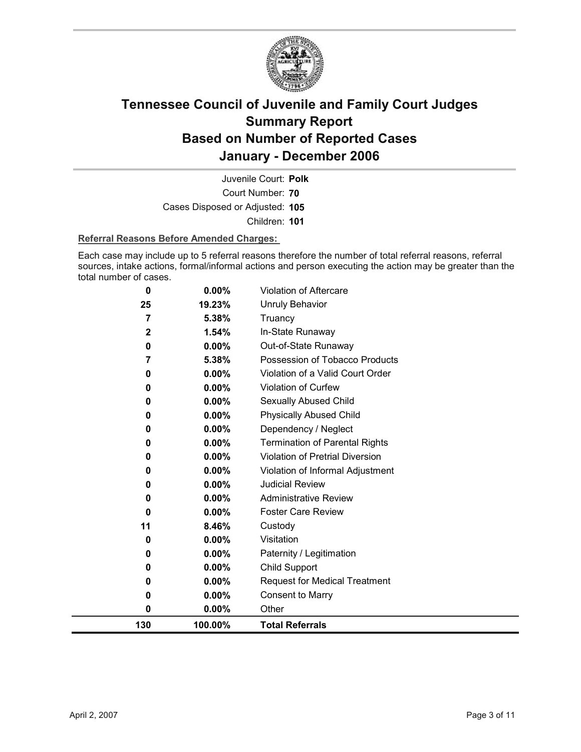

Court Number: **70** Juvenile Court: **Polk** Cases Disposed or Adjusted: **105** Children: **101**

### **Referral Reasons Before Amended Charges:**

Each case may include up to 5 referral reasons therefore the number of total referral reasons, referral sources, intake actions, formal/informal actions and person executing the action may be greater than the total number of cases.

| 130          | 100.00%         | <b>Total Referrals</b>                |
|--------------|-----------------|---------------------------------------|
| 0            | 0.00%           | Other                                 |
| 0            | 0.00%           | <b>Consent to Marry</b>               |
| 0            | 0.00%           | <b>Request for Medical Treatment</b>  |
| 0            | 0.00%           | <b>Child Support</b>                  |
| 0            | 0.00%           | Paternity / Legitimation              |
| 0            | 0.00%           | Visitation                            |
| 11           | 8.46%           | Custody                               |
| 0            | 0.00%           | <b>Foster Care Review</b>             |
| 0            | 0.00%           | <b>Administrative Review</b>          |
| 0            | $0.00\%$        | <b>Judicial Review</b>                |
| 0            | 0.00%           | Violation of Informal Adjustment      |
| 0            | 0.00%           | Violation of Pretrial Diversion       |
| 0            | 0.00%           | <b>Termination of Parental Rights</b> |
| 0            | 0.00%           | Dependency / Neglect                  |
| 0            | 0.00%           | <b>Physically Abused Child</b>        |
| 0            | 0.00%           | Sexually Abused Child                 |
| 0            | 0.00%           | Violation of Curfew                   |
| 0            | 0.00%           | Violation of a Valid Court Order      |
| 7            | 5.38%           | Possession of Tobacco Products        |
| 0            | 0.00%           | Out-of-State Runaway                  |
| $\mathbf{2}$ | 1.54%           | Truancy<br>In-State Runaway           |
| 25<br>7      | 19.23%<br>5.38% | <b>Unruly Behavior</b>                |
| 0            |                 |                                       |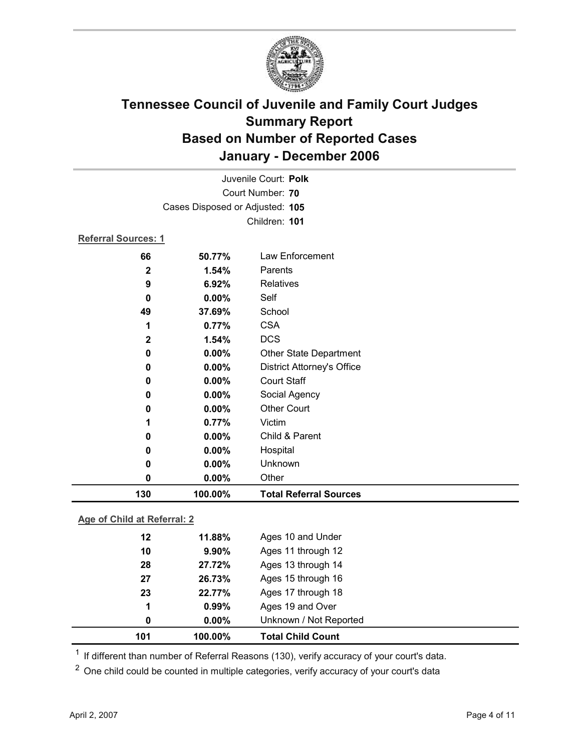

|                            |                                 | Juvenile Court: Polk              |
|----------------------------|---------------------------------|-----------------------------------|
|                            |                                 | Court Number: 70                  |
|                            | Cases Disposed or Adjusted: 105 |                                   |
|                            |                                 | Children: 101                     |
| <b>Referral Sources: 1</b> |                                 |                                   |
| 66                         | 50.77%                          | Law Enforcement                   |
| $\mathbf 2$                | 1.54%                           | Parents                           |
| 9                          | 6.92%                           | Relatives                         |
| 0                          | $0.00\%$                        | Self                              |
| 49                         | 37.69%                          | School                            |
| 1                          | 0.77%                           | <b>CSA</b>                        |
| $\mathbf 2$                | 1.54%                           | <b>DCS</b>                        |
| 0                          | 0.00%                           | <b>Other State Department</b>     |
| 0                          | 0.00%                           | <b>District Attorney's Office</b> |
| 0                          | 0.00%                           | <b>Court Staff</b>                |
| 0                          | 0.00%                           | Social Agency                     |
| 0                          | 0.00%                           | <b>Other Court</b>                |
| 1                          | 0.77%                           | Victim                            |
| 0                          | 0.00%                           | Child & Parent                    |
| 0                          | 0.00%                           | Hospital                          |
| 0                          | 0.00%                           | Unknown                           |
| 0                          | 0.00%                           | Other                             |
| 130                        | 100.00%                         | <b>Total Referral Sources</b>     |

### **Age of Child at Referral: 2**

| 101 | 100.00%  | <b>Total Child Count</b> |
|-----|----------|--------------------------|
| 0   | $0.00\%$ | Unknown / Not Reported   |
| 1   | 0.99%    | Ages 19 and Over         |
| 23  | 22.77%   | Ages 17 through 18       |
| 27  | 26.73%   | Ages 15 through 16       |
| 28  | 27.72%   | Ages 13 through 14       |
| 10  | $9.90\%$ | Ages 11 through 12       |
| 12  | 11.88%   | Ages 10 and Under        |
|     |          |                          |

<sup>1</sup> If different than number of Referral Reasons (130), verify accuracy of your court's data.

<sup>2</sup> One child could be counted in multiple categories, verify accuracy of your court's data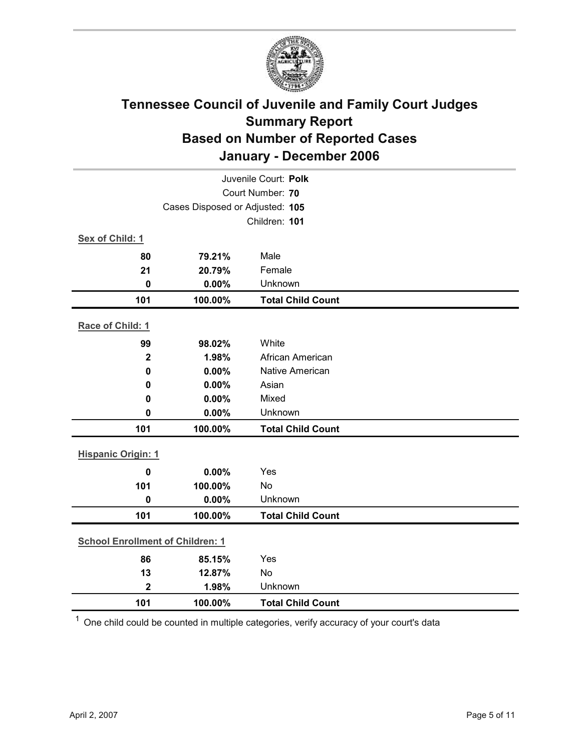

|                                         | Juvenile Court: Polk            |                          |  |
|-----------------------------------------|---------------------------------|--------------------------|--|
|                                         | Court Number: 70                |                          |  |
|                                         | Cases Disposed or Adjusted: 105 |                          |  |
|                                         |                                 | Children: 101            |  |
| Sex of Child: 1                         |                                 |                          |  |
| 80                                      | 79.21%                          | Male                     |  |
| 21                                      | 20.79%                          | Female                   |  |
| $\mathbf 0$                             | 0.00%                           | Unknown                  |  |
| 101                                     | 100.00%                         | <b>Total Child Count</b> |  |
| Race of Child: 1                        |                                 |                          |  |
| 99                                      | 98.02%                          | White                    |  |
| $\mathbf{2}$                            | 1.98%                           | African American         |  |
| $\pmb{0}$                               | 0.00%                           | <b>Native American</b>   |  |
| 0                                       | 0.00%                           | Asian                    |  |
| 0                                       | 0.00%                           | Mixed                    |  |
| $\mathbf 0$                             | 0.00%                           | Unknown                  |  |
| 101                                     | 100.00%                         | <b>Total Child Count</b> |  |
| <b>Hispanic Origin: 1</b>               |                                 |                          |  |
|                                         |                                 |                          |  |
| $\mathbf 0$                             | 0.00%                           | Yes<br><b>No</b>         |  |
| 101<br>$\mathbf 0$                      | 100.00%<br>0.00%                | Unknown                  |  |
|                                         |                                 |                          |  |
| 101                                     | 100.00%                         | <b>Total Child Count</b> |  |
| <b>School Enrollment of Children: 1</b> |                                 |                          |  |
| 86                                      | 85.15%                          | Yes                      |  |
| 13                                      | 12.87%                          | No                       |  |
| $\mathbf{2}$                            | 1.98%                           | Unknown                  |  |
| 101                                     | 100.00%                         | <b>Total Child Count</b> |  |

 $1$  One child could be counted in multiple categories, verify accuracy of your court's data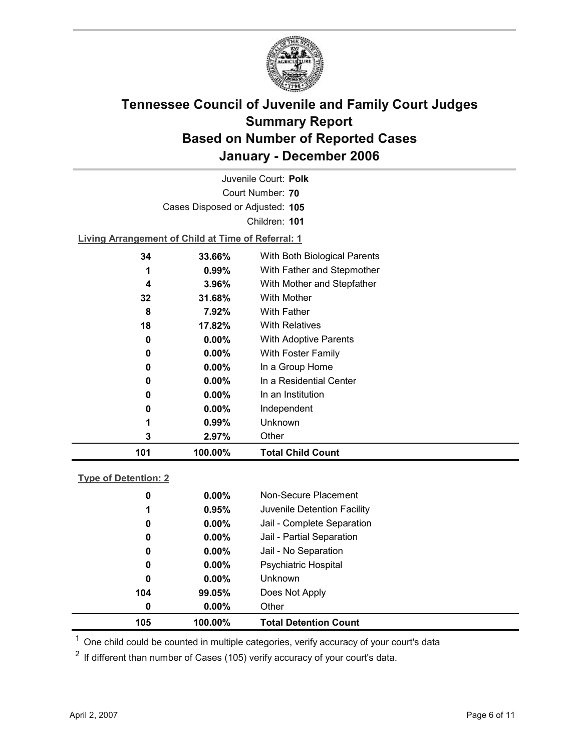

Court Number: **70** Juvenile Court: **Polk** Cases Disposed or Adjusted: **105** Children: **101**

**Living Arrangement of Child at Time of Referral: 1**

| 101 | 100.00%  | <b>Total Child Count</b>     |
|-----|----------|------------------------------|
| 3   | $2.97\%$ | Other                        |
| 1   | 0.99%    | <b>Unknown</b>               |
| 0   | $0.00\%$ | Independent                  |
| 0   | $0.00\%$ | In an Institution            |
| 0   | $0.00\%$ | In a Residential Center      |
| 0   | $0.00\%$ | In a Group Home              |
| 0   | $0.00\%$ | With Foster Family           |
| 0   | $0.00\%$ | <b>With Adoptive Parents</b> |
| 18  | 17.82%   | <b>With Relatives</b>        |
| 8   | 7.92%    | With Father                  |
| 32  | 31.68%   | <b>With Mother</b>           |
| 4   | $3.96\%$ | With Mother and Stepfather   |
| 1   | $0.99\%$ | With Father and Stepmother   |
| 34  | 33.66%   | With Both Biological Parents |
|     |          |                              |

### **Type of Detention: 2**

| 105 | 100.00%  | <b>Total Detention Count</b> |
|-----|----------|------------------------------|
| 0   | $0.00\%$ | Other                        |
| 104 | 99.05%   | Does Not Apply               |
| 0   | $0.00\%$ | <b>Unknown</b>               |
| 0   | $0.00\%$ | <b>Psychiatric Hospital</b>  |
| 0   | $0.00\%$ | Jail - No Separation         |
| 0   | $0.00\%$ | Jail - Partial Separation    |
| 0   | $0.00\%$ | Jail - Complete Separation   |
| 1   | 0.95%    | Juvenile Detention Facility  |
| 0   | $0.00\%$ | Non-Secure Placement         |
|     |          |                              |

 $<sup>1</sup>$  One child could be counted in multiple categories, verify accuracy of your court's data</sup>

 $2$  If different than number of Cases (105) verify accuracy of your court's data.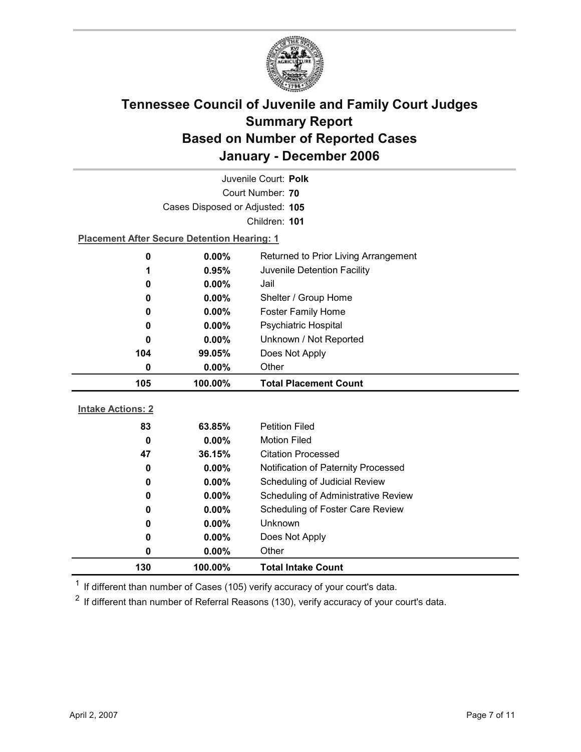

| Juvenile Court: Polk            |                                                    |                                            |  |  |  |
|---------------------------------|----------------------------------------------------|--------------------------------------------|--|--|--|
|                                 | Court Number: 70                                   |                                            |  |  |  |
| Cases Disposed or Adjusted: 105 |                                                    |                                            |  |  |  |
|                                 | Children: 101                                      |                                            |  |  |  |
|                                 | <b>Placement After Secure Detention Hearing: 1</b> |                                            |  |  |  |
| 0                               | 0.00%                                              | Returned to Prior Living Arrangement       |  |  |  |
| 1                               | 0.95%                                              | Juvenile Detention Facility                |  |  |  |
| 0                               | 0.00%                                              | Jail                                       |  |  |  |
| 0                               | 0.00%                                              | Shelter / Group Home                       |  |  |  |
| 0                               | $0.00\%$                                           | Foster Family Home                         |  |  |  |
| 0                               | 0.00%                                              | Psychiatric Hospital                       |  |  |  |
| 0                               | 0.00%                                              | Unknown / Not Reported                     |  |  |  |
| 104                             | 99.05%                                             | Does Not Apply                             |  |  |  |
| $\mathbf 0$                     | 0.00%                                              | Other                                      |  |  |  |
|                                 |                                                    |                                            |  |  |  |
| 105                             | 100.00%                                            | <b>Total Placement Count</b>               |  |  |  |
|                                 |                                                    |                                            |  |  |  |
| <b>Intake Actions: 2</b>        |                                                    |                                            |  |  |  |
| 83                              | 63.85%                                             | <b>Petition Filed</b>                      |  |  |  |
| 0                               | 0.00%                                              | <b>Motion Filed</b>                        |  |  |  |
| 47                              | 36.15%                                             | <b>Citation Processed</b>                  |  |  |  |
| 0                               | $0.00\%$                                           | Notification of Paternity Processed        |  |  |  |
| 0                               | 0.00%                                              | Scheduling of Judicial Review              |  |  |  |
| 0                               | $0.00\%$                                           | <b>Scheduling of Administrative Review</b> |  |  |  |
| 0                               | $0.00\%$                                           | Scheduling of Foster Care Review           |  |  |  |
| 0                               | $0.00\%$                                           | <b>Unknown</b>                             |  |  |  |
| 0                               | $0.00\%$                                           | Does Not Apply                             |  |  |  |
| 0<br>130                        | 0.00%<br>100.00%                                   | Other<br><b>Total Intake Count</b>         |  |  |  |

 $1$  If different than number of Cases (105) verify accuracy of your court's data.

 $2$  If different than number of Referral Reasons (130), verify accuracy of your court's data.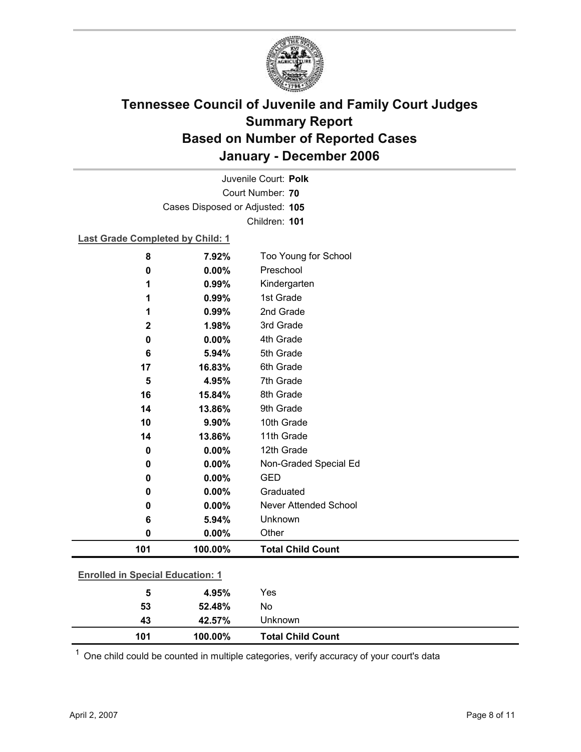

Court Number: **70** Juvenile Court: **Polk** Cases Disposed or Adjusted: **105** Children: **101**

### **Last Grade Completed by Child: 1**

| 8        | 7.92%                                   | Too Young for School         |  |
|----------|-----------------------------------------|------------------------------|--|
| 0        | 0.00%                                   | Preschool                    |  |
| 1        | 0.99%                                   | Kindergarten                 |  |
| 1        | 0.99%                                   | 1st Grade                    |  |
| 1        | 0.99%                                   | 2nd Grade                    |  |
| 2        | 1.98%                                   | 3rd Grade                    |  |
| 0        | 0.00%                                   | 4th Grade                    |  |
| 6        | 5.94%                                   | 5th Grade                    |  |
| 17       | 16.83%                                  | 6th Grade                    |  |
| 5        | 4.95%                                   | 7th Grade                    |  |
| 16       | 15.84%                                  | 8th Grade                    |  |
| 14       | 13.86%                                  | 9th Grade                    |  |
| 10       | 9.90%                                   | 10th Grade                   |  |
| 14       | 13.86%                                  | 11th Grade                   |  |
| $\bf{0}$ | 0.00%                                   | 12th Grade                   |  |
| 0        | 0.00%                                   | Non-Graded Special Ed        |  |
| $\bf{0}$ | 0.00%                                   | <b>GED</b>                   |  |
| $\bf{0}$ | 0.00%                                   | Graduated                    |  |
| 0        | $0.00\%$                                | <b>Never Attended School</b> |  |
| 6        | 5.94%                                   | Unknown                      |  |
| 0        | 0.00%                                   | Other                        |  |
| 101      | 100.00%                                 | <b>Total Child Count</b>     |  |
|          | <b>Enrolled in Special Education: 1</b> |                              |  |
|          |                                         |                              |  |
| 5        | 4.95%                                   | Yes                          |  |
| 53       | 52.48%                                  | No                           |  |

 $1$  One child could be counted in multiple categories, verify accuracy of your court's data

**43 42.57%** Unknown

**101 100.00% Total Child Count**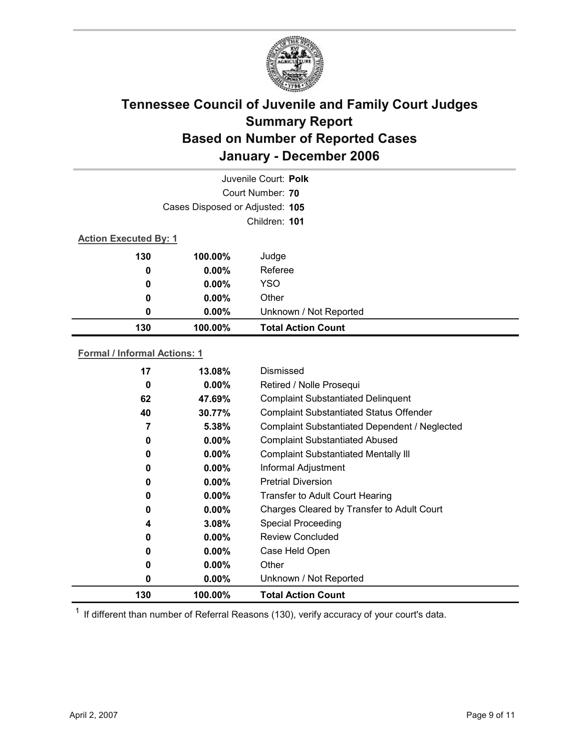

|                              |                                 | Juvenile Court: Polk      |  |
|------------------------------|---------------------------------|---------------------------|--|
|                              |                                 | Court Number: 70          |  |
|                              | Cases Disposed or Adjusted: 105 |                           |  |
|                              |                                 | Children: 101             |  |
| <b>Action Executed By: 1</b> |                                 |                           |  |
| 130                          | 100.00%                         | Judge                     |  |
| 0                            | $0.00\%$                        | Referee                   |  |
| 0                            | $0.00\%$                        | <b>YSO</b>                |  |
| 0                            | $0.00\%$                        | Other                     |  |
| 0                            | $0.00\%$                        | Unknown / Not Reported    |  |
| 130                          | 100.00%                         | <b>Total Action Count</b> |  |

### **Formal / Informal Actions: 1**

| $0.00\%$ | Unknown / Not Reported                         |
|----------|------------------------------------------------|
|          |                                                |
| $0.00\%$ | Other                                          |
| $0.00\%$ | Case Held Open                                 |
| $0.00\%$ | <b>Review Concluded</b>                        |
| 3.08%    | <b>Special Proceeding</b>                      |
| $0.00\%$ | Charges Cleared by Transfer to Adult Court     |
| $0.00\%$ | <b>Transfer to Adult Court Hearing</b>         |
| $0.00\%$ | <b>Pretrial Diversion</b>                      |
| $0.00\%$ | Informal Adjustment                            |
| $0.00\%$ | <b>Complaint Substantiated Mentally III</b>    |
| $0.00\%$ | <b>Complaint Substantiated Abused</b>          |
| 5.38%    | Complaint Substantiated Dependent / Neglected  |
| 30.77%   | <b>Complaint Substantiated Status Offender</b> |
| 47.69%   | <b>Complaint Substantiated Delinquent</b>      |
| $0.00\%$ | Retired / Nolle Prosequi                       |
| 13.08%   | Dismissed                                      |
|          |                                                |

 $1$  If different than number of Referral Reasons (130), verify accuracy of your court's data.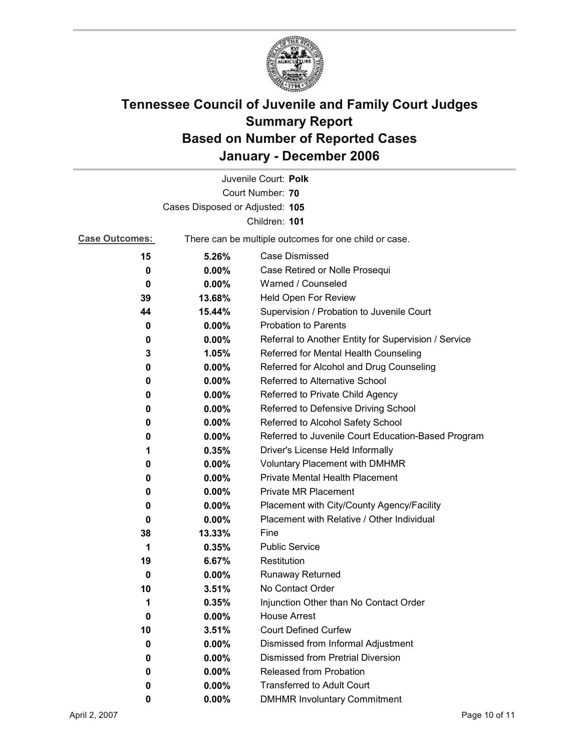

|                       |                                 | Juvenile Court: Polk                                  |
|-----------------------|---------------------------------|-------------------------------------------------------|
|                       |                                 | Court Number: 70                                      |
|                       | Cases Disposed or Adjusted: 105 |                                                       |
|                       |                                 | Children: 101                                         |
| <b>Case Outcomes:</b> |                                 | There can be multiple outcomes for one child or case. |
| 15                    | 5.26%                           | Case Dismissed                                        |
| 0                     | $0.00\%$                        | Case Retired or Nolle Prosequi                        |
| 0                     | $0.00\%$                        | Warned / Counseled                                    |
| 39                    | 13.68%                          | Held Open For Review                                  |
| 44                    | 15.44%                          | Supervision / Probation to Juvenile Court             |
| 0                     | $0.00\%$                        | <b>Probation to Parents</b>                           |
| 0                     | $0.00\%$                        | Referral to Another Entity for Supervision / Service  |
| 3                     | 1.05%                           | Referred for Mental Health Counseling                 |
| 0                     | $0.00\%$                        | Referred for Alcohol and Drug Counseling              |
| 0                     | $0.00\%$                        | Referred to Alternative School                        |
| 0                     | $0.00\%$                        | Referred to Private Child Agency                      |
| 0                     | $0.00\%$                        | Referred to Defensive Driving School                  |
| 0                     | $0.00\%$                        | Referred to Alcohol Safety School                     |
| 0                     | $0.00\%$                        | Referred to Juvenile Court Education-Based Program    |
| 1                     | 0.35%                           | Driver's License Held Informally                      |
| 0                     | $0.00\%$                        | <b>Voluntary Placement with DMHMR</b>                 |
| 0                     | $0.00\%$                        | <b>Private Mental Health Placement</b>                |
| 0                     | $0.00\%$                        | <b>Private MR Placement</b>                           |
| 0                     | $0.00\%$                        | Placement with City/County Agency/Facility            |
| 0                     | $0.00\%$                        | Placement with Relative / Other Individual            |
| 38                    | 13.33%                          | Fine                                                  |
| 1                     | 0.35%                           | <b>Public Service</b>                                 |
| 19                    | 6.67%                           | Restitution                                           |
| 0                     | $0.00\%$                        | Runaway Returned                                      |
| 10                    | 3.51%                           | No Contact Order                                      |
| 1                     | 0.35%                           | Injunction Other than No Contact Order                |
| 0                     | $0.00\%$                        | <b>House Arrest</b>                                   |
| 10                    | 3.51%                           | <b>Court Defined Curfew</b>                           |
| 0                     | $0.00\%$                        | Dismissed from Informal Adjustment                    |
| 0                     | $0.00\%$                        | <b>Dismissed from Pretrial Diversion</b>              |
| 0                     | $0.00\%$                        | Released from Probation                               |
| 0                     | $0.00\%$                        | <b>Transferred to Adult Court</b>                     |
| 0                     | $0.00\%$                        | <b>DMHMR Involuntary Commitment</b>                   |